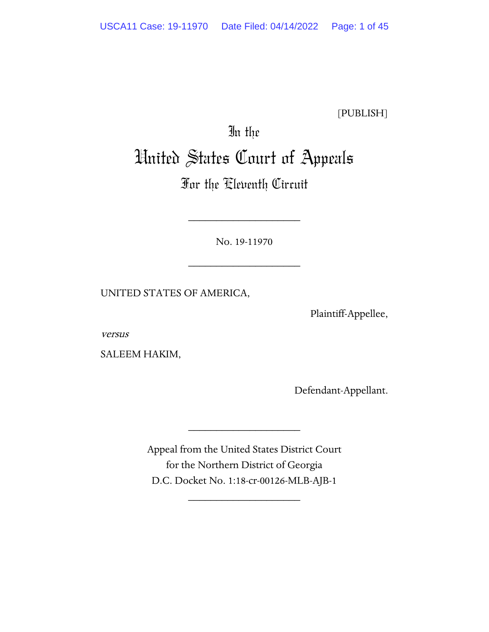[PUBLISH]

# In the United States Court of Appeals

# For the Eleventh Circuit

No. 19-11970

\_\_\_\_\_\_\_\_\_\_\_\_\_\_\_\_\_\_\_\_

\_\_\_\_\_\_\_\_\_\_\_\_\_\_\_\_\_\_\_\_

UNITED STATES OF AMERICA,

Plaintiff-Appellee,

versus

SALEEM HAKIM,

Defendant-Appellant.

Appeal from the United States District Court for the Northern District of Georgia D.C. Docket No. 1:18-cr-00126-MLB-AJB-1

\_\_\_\_\_\_\_\_\_\_\_\_\_\_\_\_\_\_\_\_

\_\_\_\_\_\_\_\_\_\_\_\_\_\_\_\_\_\_\_\_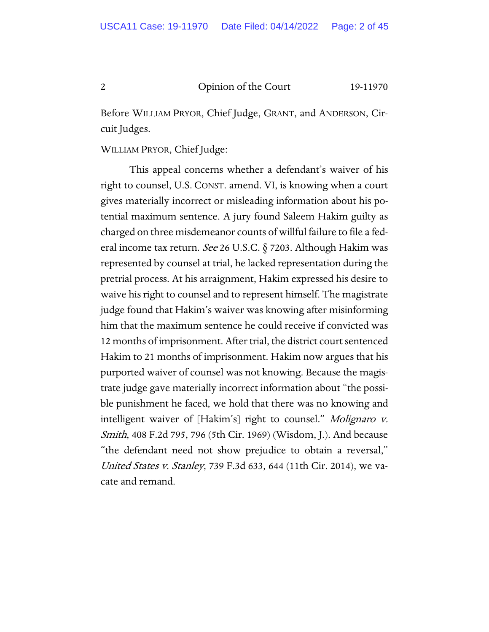Before WILLIAM PRYOR, Chief Judge, GRANT, and ANDERSON, Circuit Judges.

WILLIAM PRYOR, Chief Judge:

This appeal concerns whether a defendant's waiver of his right to counsel, U.S. CONST. amend. VI, is knowing when a court gives materially incorrect or misleading information about his potential maximum sentence. A jury found Saleem Hakim guilty as charged on three misdemeanor counts of willful failure to file a federal income tax return. See 26 U.S.C. § 7203. Although Hakim was represented by counsel at trial, he lacked representation during the pretrial process. At his arraignment, Hakim expressed his desire to waive his right to counsel and to represent himself. The magistrate judge found that Hakim's waiver was knowing after misinforming him that the maximum sentence he could receive if convicted was 12 months of imprisonment. After trial, the district court sentenced Hakim to 21 months of imprisonment. Hakim now argues that his purported waiver of counsel was not knowing. Because the magistrate judge gave materially incorrect information about "the possible punishment he faced, we hold that there was no knowing and intelligent waiver of [Hakim's] right to counsel." Molignaro v. Smith, 408 F.2d 795, 796 (5th Cir. 1969) (Wisdom, J.). And because "the defendant need not show prejudice to obtain a reversal," United States v. Stanley, 739 F.3d 633, 644 (11th Cir. 2014), we vacate and remand.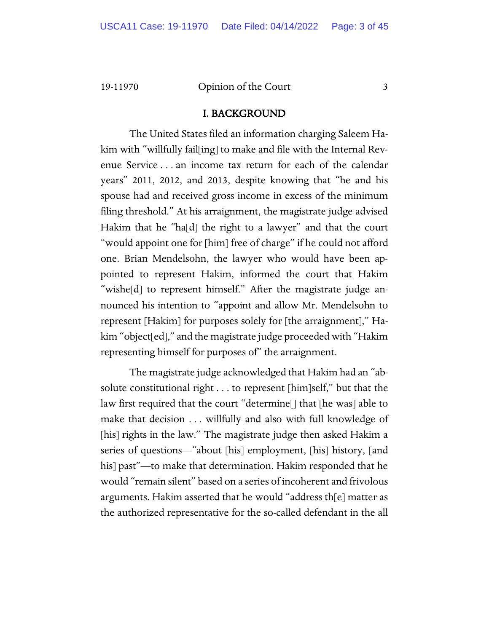# I. BACKGROUND

The United States filed an information charging Saleem Hakim with "willfully fail[ing] to make and file with the Internal Revenue Service . . . an income tax return for each of the calendar years" 2011, 2012, and 2013, despite knowing that "he and his spouse had and received gross income in excess of the minimum filing threshold." At his arraignment, the magistrate judge advised Hakim that he "ha[d] the right to a lawyer" and that the court "would appoint one for [him] free of charge" if he could not afford one. Brian Mendelsohn, the lawyer who would have been appointed to represent Hakim, informed the court that Hakim "wishe[d] to represent himself." After the magistrate judge announced his intention to "appoint and allow Mr. Mendelsohn to represent [Hakim] for purposes solely for [the arraignment]," Hakim "object[ed]," and the magistrate judge proceeded with "Hakim representing himself for purposes of" the arraignment.

The magistrate judge acknowledged that Hakim had an "absolute constitutional right . . . to represent [him]self," but that the law first required that the court "determine[] that [he was] able to make that decision . . . willfully and also with full knowledge of [his] rights in the law." The magistrate judge then asked Hakim a series of questions—"about [his] employment, [his] history, [and his] past"—to make that determination. Hakim responded that he would "remain silent" based on a series of incoherent and frivolous arguments. Hakim asserted that he would "address th[e] matter as the authorized representative for the so-called defendant in the all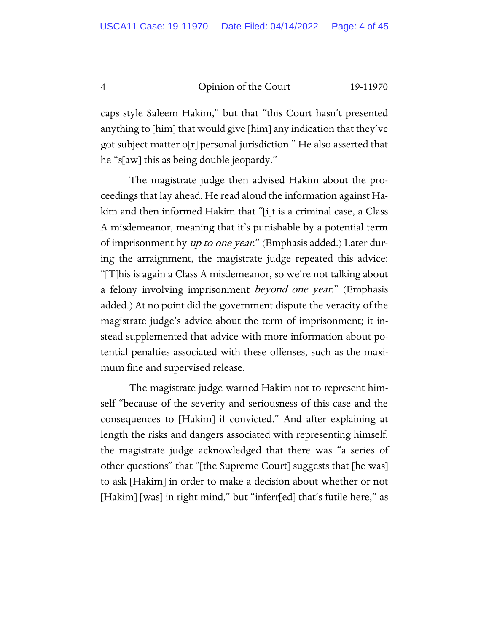caps style Saleem Hakim," but that "this Court hasn't presented anything to [him] that would give [him] any indication that they've got subject matter o[r] personal jurisdiction." He also asserted that he "s[aw] this as being double jeopardy."

The magistrate judge then advised Hakim about the proceedings that lay ahead. He read aloud the information against Hakim and then informed Hakim that "[i]t is a criminal case, a Class A misdemeanor, meaning that it's punishable by a potential term of imprisonment by up to one year." (Emphasis added.) Later during the arraignment, the magistrate judge repeated this advice: "[T]his is again a Class A misdemeanor, so we're not talking about a felony involving imprisonment *beyond one year.*" (Emphasis added.) At no point did the government dispute the veracity of the magistrate judge's advice about the term of imprisonment; it instead supplemented that advice with more information about potential penalties associated with these offenses, such as the maximum fine and supervised release.

The magistrate judge warned Hakim not to represent himself "because of the severity and seriousness of this case and the consequences to [Hakim] if convicted." And after explaining at length the risks and dangers associated with representing himself, the magistrate judge acknowledged that there was "a series of other questions" that "[the Supreme Court] suggests that [he was] to ask [Hakim] in order to make a decision about whether or not [Hakim] [was] in right mind," but "inferr[ed] that's futile here," as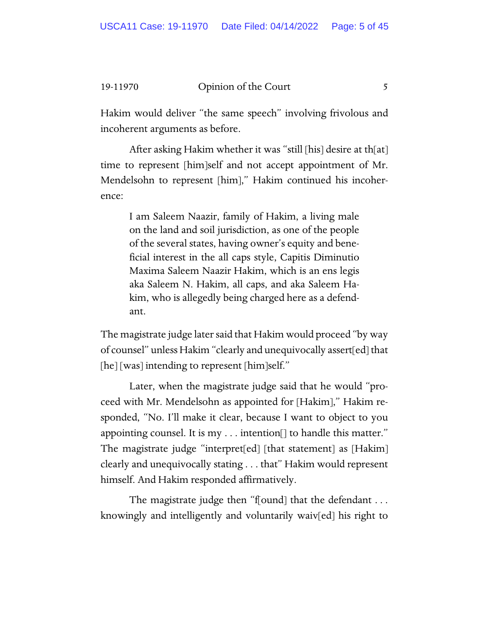Hakim would deliver "the same speech" involving frivolous and incoherent arguments as before.

After asking Hakim whether it was "still [his] desire at th[at] time to represent [him]self and not accept appointment of Mr. Mendelsohn to represent [him]," Hakim continued his incoherence:

I am Saleem Naazir, family of Hakim, a living male on the land and soil jurisdiction, as one of the people of the several states, having owner's equity and beneficial interest in the all caps style, Capitis Diminutio Maxima Saleem Naazir Hakim, which is an ens legis aka Saleem N. Hakim, all caps, and aka Saleem Hakim, who is allegedly being charged here as a defendant.

The magistrate judge later said that Hakim would proceed "by way of counsel" unless Hakim "clearly and unequivocally assert[ed] that [he] [was] intending to represent [him]self."

Later, when the magistrate judge said that he would "proceed with Mr. Mendelsohn as appointed for [Hakim]," Hakim responded, "No. I'll make it clear, because I want to object to you appointing counsel. It is my . . . intention[] to handle this matter." The magistrate judge "interpret[ed] [that statement] as [Hakim] clearly and unequivocally stating . . . that" Hakim would represent himself. And Hakim responded affirmatively.

The magistrate judge then "f[ound] that the defendant . . . knowingly and intelligently and voluntarily waiv[ed] his right to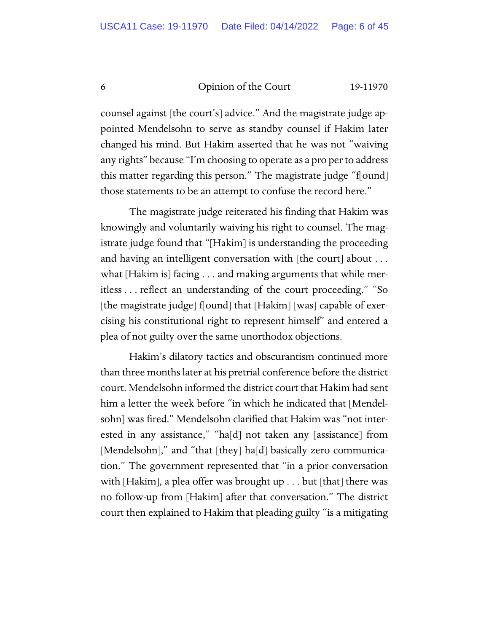counsel against [the court's] advice." And the magistrate judge appointed Mendelsohn to serve as standby counsel if Hakim later changed his mind. But Hakim asserted that he was not "waiving any rights" because "I'm choosing to operate as a pro per to address this matter regarding this person." The magistrate judge "f[ound] those statements to be an attempt to confuse the record here."

The magistrate judge reiterated his finding that Hakim was knowingly and voluntarily waiving his right to counsel. The magistrate judge found that "[Hakim] is understanding the proceeding and having an intelligent conversation with [the court] about ... what [Hakim is] facing . . . and making arguments that while meritless . . . reflect an understanding of the court proceeding." "So [the magistrate judge] f[ound] that  $[Hakim]$  [was] capable of exercising his constitutional right to represent himself" and entered a plea of not guilty over the same unorthodox objections.

Hakim's dilatory tactics and obscurantism continued more than three months later at his pretrial conference before the district court. Mendelsohn informed the district court that Hakim had sent him a letter the week before "in which he indicated that [Mendelsohn] was fired." Mendelsohn clarified that Hakim was "not interested in any assistance," "ha[d] not taken any [assistance] from [Mendelsohn]," and "that [they] ha[d] basically zero communication." The government represented that "in a prior conversation with [Hakim], a plea offer was brought up . . . but [that] there was no follow-up from [Hakim] after that conversation." The district court then explained to Hakim that pleading guilty "is a mitigating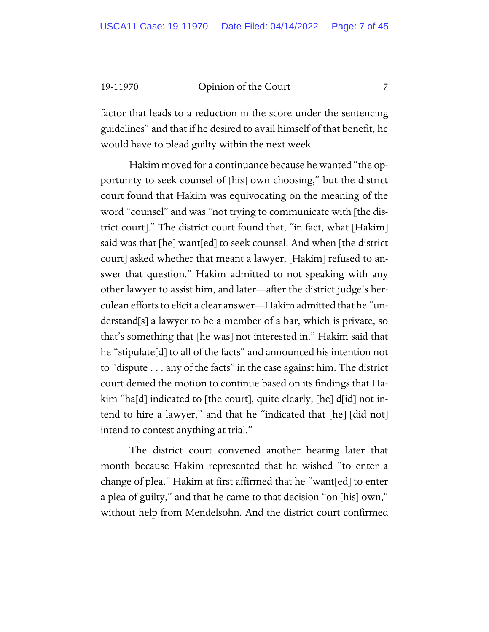factor that leads to a reduction in the score under the sentencing guidelines" and that if he desired to avail himself of that benefit, he would have to plead guilty within the next week.

Hakim moved for a continuance because he wanted "the opportunity to seek counsel of [his] own choosing," but the district court found that Hakim was equivocating on the meaning of the word "counsel" and was "not trying to communicate with [the district court]." The district court found that, "in fact, what [Hakim] said was that [he] want[ed] to seek counsel. And when [the district court] asked whether that meant a lawyer, [Hakim] refused to answer that question." Hakim admitted to not speaking with any other lawyer to assist him, and later—after the district judge's herculean efforts to elicit a clear answer—Hakim admitted that he "understand[s] a lawyer to be a member of a bar, which is private, so that's something that [he was] not interested in." Hakim said that he "stipulate[d] to all of the facts" and announced his intention not to "dispute . . . any of the facts" in the case against him. The district court denied the motion to continue based on its findings that Hakim "ha[d] indicated to [the court], quite clearly, [he]  $d_id$ ] not intend to hire a lawyer," and that he "indicated that [he] [did not] intend to contest anything at trial."

The district court convened another hearing later that month because Hakim represented that he wished "to enter a change of plea." Hakim at first affirmed that he "want[ed] to enter a plea of guilty," and that he came to that decision "on [his] own," without help from Mendelsohn. And the district court confirmed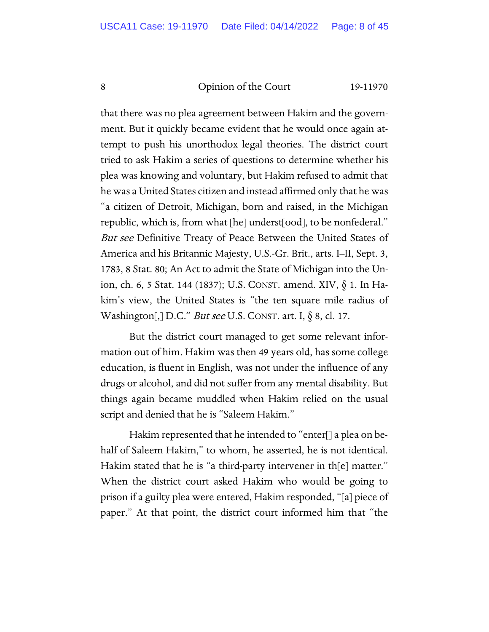that there was no plea agreement between Hakim and the government. But it quickly became evident that he would once again attempt to push his unorthodox legal theories. The district court tried to ask Hakim a series of questions to determine whether his plea was knowing and voluntary, but Hakim refused to admit that he was a United States citizen and instead affirmed only that he was "a citizen of Detroit, Michigan, born and raised, in the Michigan republic, which is, from what [he] underst[ood], to be nonfederal." But see Definitive Treaty of Peace Between the United States of America and his Britannic Majesty, U.S.-Gr. Brit., arts. I–II, Sept. 3, 1783, 8 Stat. 80; An Act to admit the State of Michigan into the Union, ch. 6, 5 Stat. 144 (1837); U.S. CONST. amend. XIV, § 1. In Hakim's view, the United States is "the ten square mile radius of Washington[,] D.C." But see U.S. CONST. art. I,  $\S$  8, cl. 17.

But the district court managed to get some relevant information out of him. Hakim was then 49 years old, has some college education, is fluent in English, was not under the influence of any drugs or alcohol, and did not suffer from any mental disability. But things again became muddled when Hakim relied on the usual script and denied that he is "Saleem Hakim."

Hakim represented that he intended to "enter[] a plea on behalf of Saleem Hakim," to whom, he asserted, he is not identical. Hakim stated that he is "a third-party intervener in th[e] matter." When the district court asked Hakim who would be going to prison if a guilty plea were entered, Hakim responded, "[a] piece of paper." At that point, the district court informed him that "the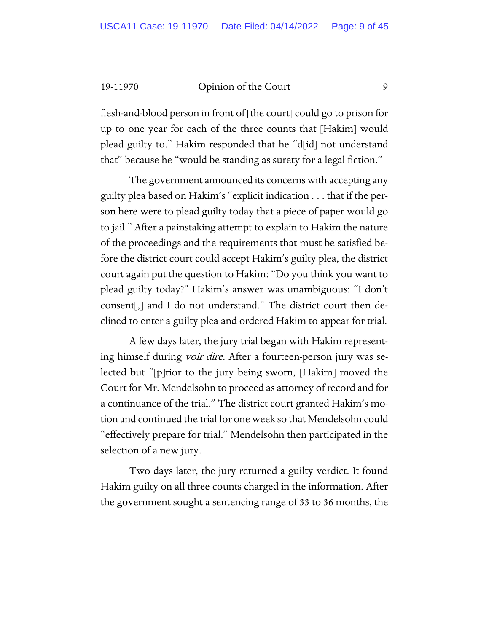flesh-and-blood person in front of [the court] could go to prison for up to one year for each of the three counts that [Hakim] would plead guilty to." Hakim responded that he "d[id] not understand that" because he "would be standing as surety for a legal fiction."

The government announced its concerns with accepting any guilty plea based on Hakim's "explicit indication . . . that if the person here were to plead guilty today that a piece of paper would go to jail." After a painstaking attempt to explain to Hakim the nature of the proceedings and the requirements that must be satisfied before the district court could accept Hakim's guilty plea, the district court again put the question to Hakim: "Do you think you want to plead guilty today?" Hakim's answer was unambiguous: "I don't consent[,] and I do not understand." The district court then declined to enter a guilty plea and ordered Hakim to appear for trial.

A few days later, the jury trial began with Hakim representing himself during *voir dire*. After a fourteen-person jury was selected but "[p]rior to the jury being sworn, [Hakim] moved the Court for Mr. Mendelsohn to proceed as attorney of record and for a continuance of the trial." The district court granted Hakim's motion and continued the trial for one week so that Mendelsohn could "effectively prepare for trial." Mendelsohn then participated in the selection of a new jury.

Two days later, the jury returned a guilty verdict. It found Hakim guilty on all three counts charged in the information. After the government sought a sentencing range of 33 to 36 months, the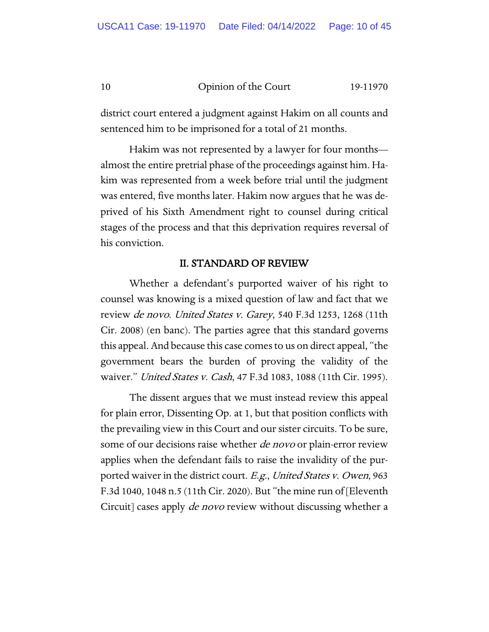district court entered a judgment against Hakim on all counts and sentenced him to be imprisoned for a total of 21 months.

Hakim was not represented by a lawyer for four months almost the entire pretrial phase of the proceedings against him. Hakim was represented from a week before trial until the judgment was entered, five months later. Hakim now argues that he was deprived of his Sixth Amendment right to counsel during critical stages of the process and that this deprivation requires reversal of his conviction.

# II. STANDARD OF REVIEW

Whether a defendant's purported waiver of his right to counsel was knowing is a mixed question of law and fact that we review de novo. United States v. Garey, 540 F.3d 1253, 1268 (11th Cir. 2008) (en banc). The parties agree that this standard governs this appeal. And because this case comes to us on direct appeal, "the government bears the burden of proving the validity of the waiver." *United States v. Cash*, 47 F.3d 1083, 1088 (11th Cir. 1995).

The dissent argues that we must instead review this appeal for plain error, Dissenting Op. at 1, but that position conflicts with the prevailing view in this Court and our sister circuits. To be sure, some of our decisions raise whether *de novo* or plain-error review applies when the defendant fails to raise the invalidity of the purported waiver in the district court. E.g., United States v. Owen, 963 F.3d 1040, 1048 n.5 (11th Cir. 2020). But "the mine run of [Eleventh Circuit] cases apply *de novo* review without discussing whether a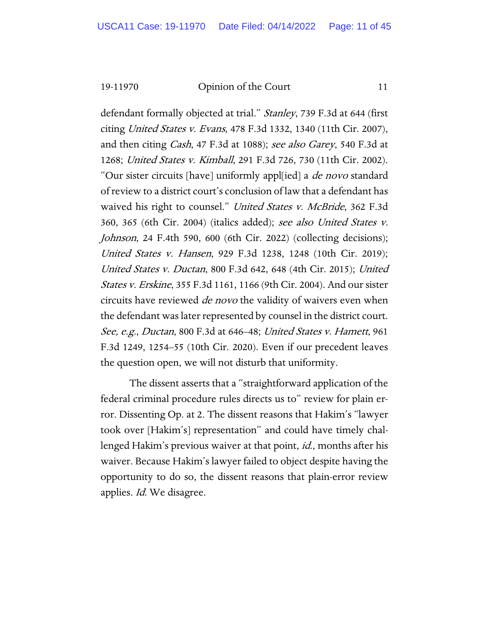defendant formally objected at trial." *Stanley*, 739 F.3d at 644 (first citing United States v. Evans, 478 F.3d 1332, 1340 (11th Cir. 2007), and then citing *Cash*, 47 F.3d at 1088); see also *Garey*, 540 F.3d at 1268; United States v. Kimball, 291 F.3d 726, 730 (11th Cir. 2002). "Our sister circuits [have] uniformly appl[ied] a *de novo* standard of review to a district court's conclusion of law that a defendant has waived his right to counsel." United States v. McBride, 362 F.3d 360, 365 (6th Cir. 2004) (italics added); see also United States v. Johnson, 24 F.4th 590, 600 (6th Cir. 2022) (collecting decisions); United States v. Hansen, 929 F.3d 1238, 1248 (10th Cir. 2019); United States v. Ductan, 800 F.3d 642, 648 (4th Cir. 2015); United States v. Erskine, 355 F.3d 1161, 1166 (9th Cir. 2004). And our sister circuits have reviewed *de novo* the validity of waivers even when the defendant was later represented by counsel in the district court. See, e.g., Ductan, 800 F.3d at 646–48; United States v. Hamett, 961 F.3d 1249, 1254–55 (10th Cir. 2020). Even if our precedent leaves the question open, we will not disturb that uniformity.

The dissent asserts that a "straightforward application of the federal criminal procedure rules directs us to" review for plain error. Dissenting Op. at 2. The dissent reasons that Hakim's "lawyer took over [Hakim's] representation" and could have timely challenged Hakim's previous waiver at that point, id., months after his waiver. Because Hakim's lawyer failed to object despite having the opportunity to do so, the dissent reasons that plain-error review applies. *Id.* We disagree.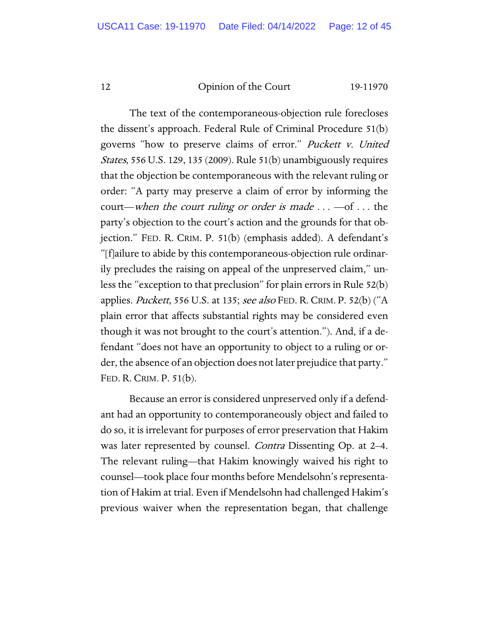The text of the contemporaneous-objection rule forecloses the dissent's approach. Federal Rule of Criminal Procedure 51(b) governs "how to preserve claims of error." Puckett v. United States, 556 U.S. 129, 135 (2009). Rule 51(b) unambiguously requires that the objection be contemporaneous with the relevant ruling or order: "A party may preserve a claim of error by informing the court—when the court ruling or order is made  $\dots$  —of  $\dots$  the party's objection to the court's action and the grounds for that objection." FED. R. CRIM. P. 51(b) (emphasis added). A defendant's "[f]ailure to abide by this contemporaneous-objection rule ordinarily precludes the raising on appeal of the unpreserved claim," unless the "exception to that preclusion" for plain errors in Rule 52(b) applies. Puckett, 556 U.S. at 135; see also FED. R. CRIM. P. 52(b) ("A plain error that affects substantial rights may be considered even though it was not brought to the court's attention."). And, if a defendant "does not have an opportunity to object to a ruling or order, the absence of an objection does not later prejudice that party." FED. R. CRIM. P. 51(b).

Because an error is considered unpreserved only if a defendant had an opportunity to contemporaneously object and failed to do so, it is irrelevant for purposes of error preservation that Hakim was later represented by counsel. *Contra* Dissenting Op. at 2–4. The relevant ruling—that Hakim knowingly waived his right to counsel—took place four months before Mendelsohn's representation of Hakim at trial. Even if Mendelsohn had challenged Hakim's previous waiver when the representation began, that challenge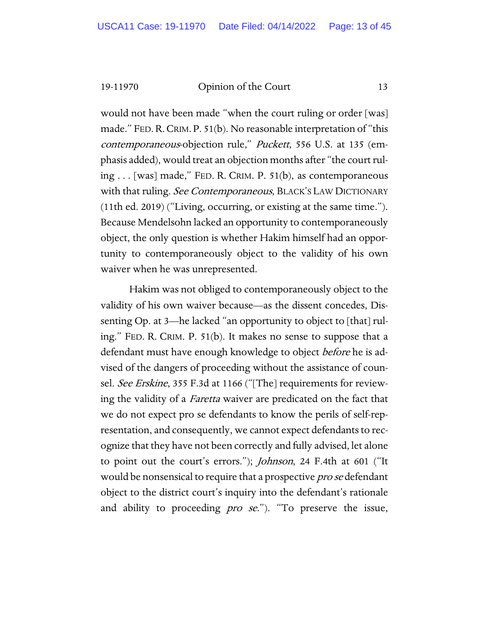would not have been made "when the court ruling or order [was] made." FED. R. CRIM. P. 51(b). No reasonable interpretation of "this contemporaneous-objection rule," Puckett, 556 U.S. at 135 (emphasis added), would treat an objection months after "the court ruling . . . [was] made," FED. R. CRIM. P. 51(b), as contemporaneous with that ruling. See Contemporaneous, BLACK'S LAW DICTIONARY (11th ed. 2019) ("Living, occurring, or existing at the same time."). Because Mendelsohn lacked an opportunity to contemporaneously object, the only question is whether Hakim himself had an opportunity to contemporaneously object to the validity of his own waiver when he was unrepresented.

Hakim was not obliged to contemporaneously object to the validity of his own waiver because—as the dissent concedes, Dissenting Op. at 3—he lacked "an opportunity to object to [that] ruling." FED. R. CRIM. P. 51(b). It makes no sense to suppose that a defendant must have enough knowledge to object *before* he is advised of the dangers of proceeding without the assistance of counsel. See Erskine, 355 F.3d at 1166 ("[The] requirements for reviewing the validity of a *Faretta* waiver are predicated on the fact that we do not expect pro se defendants to know the perils of self-representation, and consequently, we cannot expect defendants to recognize that they have not been correctly and fully advised, let alone to point out the court's errors."); Johnson, 24 F.4th at 601 ("It would be nonsensical to require that a prospective *pro se* defendant object to the district court's inquiry into the defendant's rationale and ability to proceeding *pro se*."). "To preserve the issue,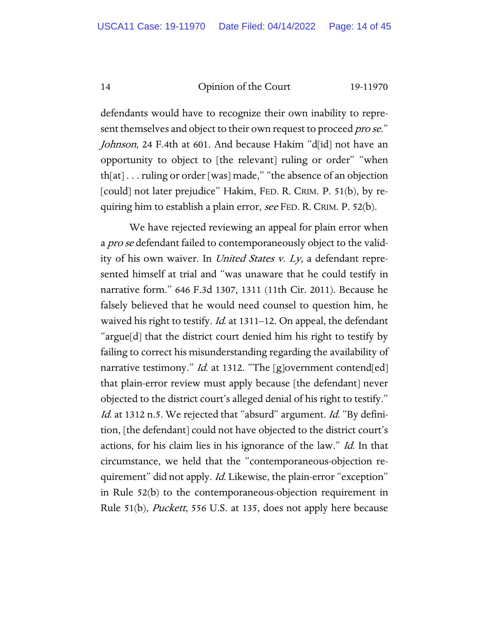defendants would have to recognize their own inability to represent themselves and object to their own request to proceed *pro se*." Johnson, 24 F.4th at 601. And because Hakim "d[id] not have an opportunity to object to [the relevant] ruling or order" "when th[at] . . . ruling or order [was] made," "the absence of an objection [could] not later prejudice" Hakim, FED. R. CRIM. P. 51(b), by requiring him to establish a plain error, see FED. R. CRIM. P. 52(b).

We have rejected reviewing an appeal for plain error when a *pro se* defendant failed to contemporaneously object to the validity of his own waiver. In United States v. Ly, a defendant represented himself at trial and "was unaware that he could testify in narrative form." 646 F.3d 1307, 1311 (11th Cir. 2011). Because he falsely believed that he would need counsel to question him, he waived his right to testify. *Id.* at 1311–12. On appeal, the defendant "argue[d] that the district court denied him his right to testify by failing to correct his misunderstanding regarding the availability of narrative testimony." *Id.* at 1312. "The [g]overnment contend[ed] that plain-error review must apply because [the defendant] never objected to the district court's alleged denial of his right to testify." Id. at 1312 n.5. We rejected that "absurd" argument. Id. "By definition, [the defendant] could not have objected to the district court's actions, for his claim lies in his ignorance of the law." Id. In that circumstance, we held that the "contemporaneous-objection requirement" did not apply. *Id.* Likewise, the plain-error "exception" in Rule 52(b) to the contemporaneous-objection requirement in Rule 51(b), *Puckett*, 556 U.S. at 135, does not apply here because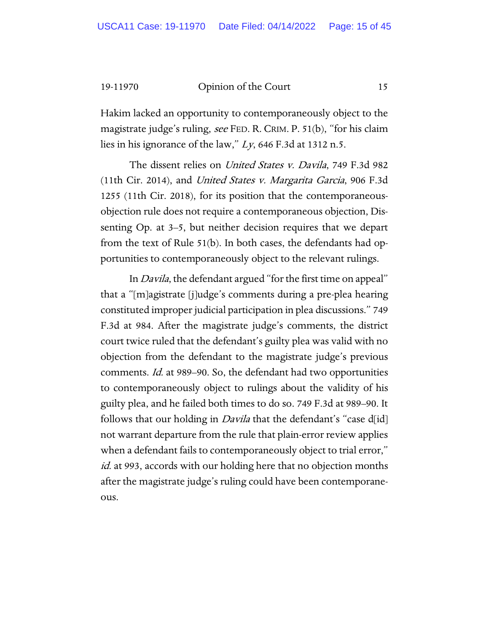Hakim lacked an opportunity to contemporaneously object to the magistrate judge's ruling, see FED. R. CRIM. P. 51(b), "for his claim lies in his ignorance of the law," Ly, 646 F.3d at 1312 n.5.

The dissent relies on *United States v. Davila*, 749 F.3d 982 (11th Cir. 2014), and United States v. Margarita Garcia, 906 F.3d 1255 (11th Cir. 2018), for its position that the contemporaneousobjection rule does not require a contemporaneous objection, Dissenting Op. at 3–5, but neither decision requires that we depart from the text of Rule 51(b). In both cases, the defendants had opportunities to contemporaneously object to the relevant rulings.

In Davila, the defendant argued "for the first time on appeal" that a "[m]agistrate [j]udge's comments during a pre-plea hearing constituted improper judicial participation in plea discussions." 749 F.3d at 984. After the magistrate judge's comments, the district court twice ruled that the defendant's guilty plea was valid with no objection from the defendant to the magistrate judge's previous comments. Id. at 989–90. So, the defendant had two opportunities to contemporaneously object to rulings about the validity of his guilty plea, and he failed both times to do so. 749 F.3d at 989–90. It follows that our holding in *Davila* that the defendant's "case d[id] not warrant departure from the rule that plain-error review applies when a defendant fails to contemporaneously object to trial error," id. at 993, accords with our holding here that no objection months after the magistrate judge's ruling could have been contemporaneous.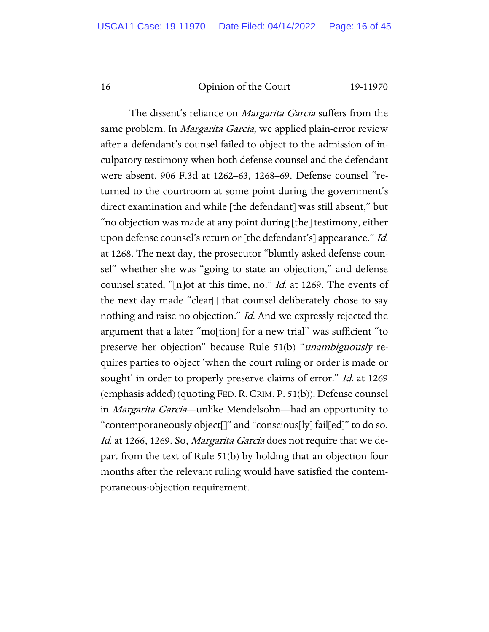The dissent's reliance on *Margarita Garcia* suffers from the same problem. In *Margarita Garcia*, we applied plain-error review after a defendant's counsel failed to object to the admission of inculpatory testimony when both defense counsel and the defendant were absent. 906 F.3d at 1262–63, 1268–69. Defense counsel "returned to the courtroom at some point during the government's direct examination and while [the defendant] was still absent," but "no objection was made at any point during [the] testimony, either upon defense counsel's return or [the defendant's] appearance." Id. at 1268. The next day, the prosecutor "bluntly asked defense counsel" whether she was "going to state an objection," and defense counsel stated, "[n]ot at this time, no." *Id.* at 1269. The events of the next day made "clear[] that counsel deliberately chose to say nothing and raise no objection." Id. And we expressly rejected the argument that a later "mo[tion] for a new trial" was sufficient "to preserve her objection" because Rule 51(b) "unambiguously requires parties to object 'when the court ruling or order is made or sought' in order to properly preserve claims of error." Id. at 1269 (emphasis added) (quoting FED.R.CRIM. P. 51(b)). Defense counsel in Margarita Garcia—unlike Mendelsohn—had an opportunity to "contemporaneously object[]" and "conscious[ly] fail[ed]" to do so. Id. at 1266, 1269. So, Margarita Garcia does not require that we depart from the text of Rule 51(b) by holding that an objection four months after the relevant ruling would have satisfied the contemporaneous-objection requirement.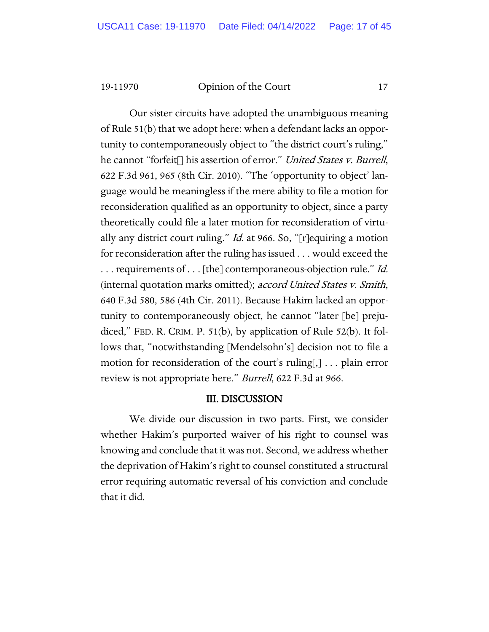Our sister circuits have adopted the unambiguous meaning of Rule 51(b) that we adopt here: when a defendant lacks an opportunity to contemporaneously object to "the district court's ruling," he cannot "forfeit<sup>[]</sup> his assertion of error." *United States v. Burrell*, 622 F.3d 961, 965 (8th Cir. 2010). "The 'opportunity to object' language would be meaningless if the mere ability to file a motion for reconsideration qualified as an opportunity to object, since a party theoretically could file a later motion for reconsideration of virtually any district court ruling." *Id.* at 966. So, "[r] equiring a motion for reconsideration after the ruling has issued . . . would exceed the  $\ldots$  requirements of  $\ldots$  [the] contemporaneous-objection rule." *Id.* (internal quotation marks omitted); accord United States v. Smith, 640 F.3d 580, 586 (4th Cir. 2011). Because Hakim lacked an opportunity to contemporaneously object, he cannot "later [be] prejudiced," FED. R. CRIM. P. 51(b), by application of Rule 52(b). It follows that, "notwithstanding [Mendelsohn's] decision not to file a motion for reconsideration of the court's ruling[,] . . . plain error review is not appropriate here." Burrell, 622 F.3d at 966.

#### III. DISCUSSION

We divide our discussion in two parts. First, we consider whether Hakim's purported waiver of his right to counsel was knowing and conclude that it was not. Second, we address whether the deprivation of Hakim's right to counsel constituted a structural error requiring automatic reversal of his conviction and conclude that it did.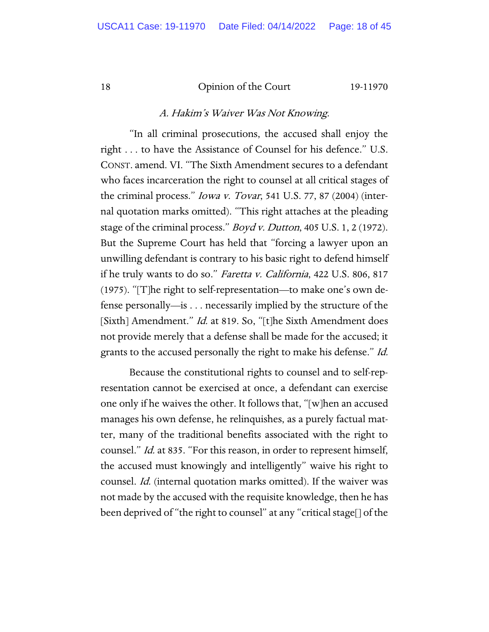# A. Hakim's Waiver Was Not Knowing.

"In all criminal prosecutions, the accused shall enjoy the right . . . to have the Assistance of Counsel for his defence." U.S. CONST. amend. VI. "The Sixth Amendment secures to a defendant who faces incarceration the right to counsel at all critical stages of the criminal process." Iowa v. Tovar, 541 U.S. 77, 87 (2004) (internal quotation marks omitted). "This right attaches at the pleading stage of the criminal process." *Boyd v. Dutton*, 405 U.S. 1, 2 (1972). But the Supreme Court has held that "forcing a lawyer upon an unwilling defendant is contrary to his basic right to defend himself if he truly wants to do so." Faretta v. California, 422 U.S. 806, 817 (1975). "[T]he right to self-representation—to make one's own defense personally—is . . . necessarily implied by the structure of the [Sixth] Amendment." *Id.* at 819. So, "[t]he Sixth Amendment does not provide merely that a defense shall be made for the accused; it grants to the accused personally the right to make his defense." Id.

Because the constitutional rights to counsel and to self-representation cannot be exercised at once, a defendant can exercise one only if he waives the other. It follows that, "[w]hen an accused manages his own defense, he relinquishes, as a purely factual matter, many of the traditional benefits associated with the right to counsel." Id. at 835. "For this reason, in order to represent himself, the accused must knowingly and intelligently" waive his right to counsel. Id. (internal quotation marks omitted). If the waiver was not made by the accused with the requisite knowledge, then he has been deprived of "the right to counsel" at any "critical stage[] of the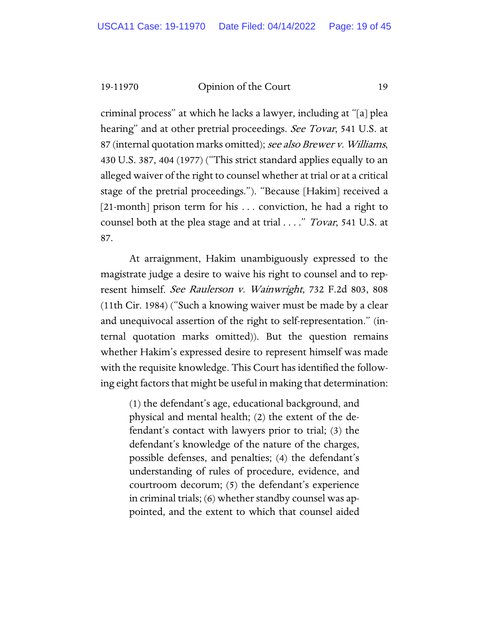criminal process" at which he lacks a lawyer, including at "[a] plea hearing" and at other pretrial proceedings. See Tovar, 541 U.S. at 87 (internal quotation marks omitted); see also Brewer v. Williams, 430 U.S. 387, 404 (1977) ("This strict standard applies equally to an alleged waiver of the right to counsel whether at trial or at a critical stage of the pretrial proceedings."). "Because [Hakim] received a [21-month] prison term for his ... conviction, he had a right to counsel both at the plea stage and at trial . . . ." *Tovar*, 541 U.S. at 87.

At arraignment, Hakim unambiguously expressed to the magistrate judge a desire to waive his right to counsel and to represent himself. See Raulerson v. Wainwright, 732 F.2d 803, 808 (11th Cir. 1984) ("Such a knowing waiver must be made by a clear and unequivocal assertion of the right to self-representation." (internal quotation marks omitted)). But the question remains whether Hakim's expressed desire to represent himself was made with the requisite knowledge. This Court has identified the following eight factors that might be useful in making that determination:

(1) the defendant's age, educational background, and physical and mental health; (2) the extent of the defendant's contact with lawyers prior to trial; (3) the defendant's knowledge of the nature of the charges, possible defenses, and penalties; (4) the defendant's understanding of rules of procedure, evidence, and courtroom decorum; (5) the defendant's experience in criminal trials; (6) whether standby counsel was appointed, and the extent to which that counsel aided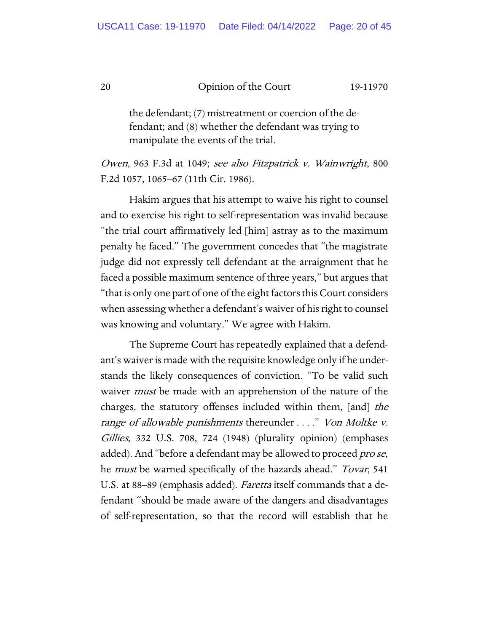the defendant; (7) mistreatment or coercion of the defendant; and (8) whether the defendant was trying to manipulate the events of the trial.

Owen, 963 F.3d at 1049; see also Fitzpatrick v. Wainwright, 800 F.2d 1057, 1065–67 (11th Cir. 1986).

Hakim argues that his attempt to waive his right to counsel and to exercise his right to self-representation was invalid because "the trial court affirmatively led [him] astray as to the maximum penalty he faced." The government concedes that "the magistrate judge did not expressly tell defendant at the arraignment that he faced a possible maximum sentence of three years," but argues that "that is only one part of one of the eight factors this Court considers when assessing whether a defendant's waiver of his right to counsel was knowing and voluntary." We agree with Hakim.

The Supreme Court has repeatedly explained that a defendant's waiver is made with the requisite knowledge only if he understands the likely consequences of conviction. "To be valid such waiver *must* be made with an apprehension of the nature of the charges, the statutory offenses included within them, [and] the range of allowable punishments thereunder ...." Von Moltke v. Gillies, 332 U.S. 708, 724 (1948) (plurality opinion) (emphases added). And "before a defendant may be allowed to proceed *pro se*, he *must* be warned specifically of the hazards ahead." *Tovar*, 541 U.S. at 88–89 (emphasis added). Faretta itself commands that a defendant "should be made aware of the dangers and disadvantages of self-representation, so that the record will establish that he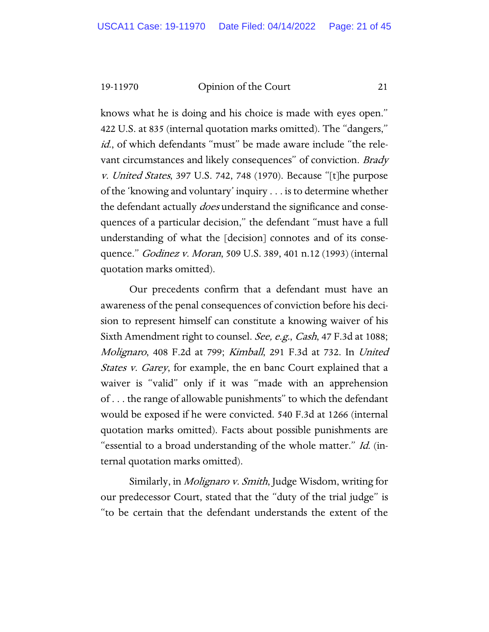knows what he is doing and his choice is made with eyes open." 422 U.S. at 835 (internal quotation marks omitted). The "dangers," id., of which defendants "must" be made aware include "the relevant circumstances and likely consequences" of conviction. Brady v. United States, 397 U.S. 742, 748 (1970). Because "[t]he purpose of the 'knowing and voluntary' inquiry . . . is to determine whether the defendant actually *does* understand the significance and consequences of a particular decision," the defendant "must have a full understanding of what the [decision] connotes and of its consequence." *Godinez v. Moran*, 509 U.S. 389, 401 n.12 (1993) (internal quotation marks omitted).

Our precedents confirm that a defendant must have an awareness of the penal consequences of conviction before his decision to represent himself can constitute a knowing waiver of his Sixth Amendment right to counsel. See, e.g., Cash, 47 F.3d at 1088; Molignaro, 408 F.2d at 799; Kimball, 291 F.3d at 732. In United *States v. Garey*, for example, the en banc Court explained that a waiver is "valid" only if it was "made with an apprehension of . . . the range of allowable punishments" to which the defendant would be exposed if he were convicted. 540 F.3d at 1266 (internal quotation marks omitted). Facts about possible punishments are "essential to a broad understanding of the whole matter." Id. (internal quotation marks omitted).

Similarly, in Molignaro v. Smith, Judge Wisdom, writing for our predecessor Court, stated that the "duty of the trial judge" is "to be certain that the defendant understands the extent of the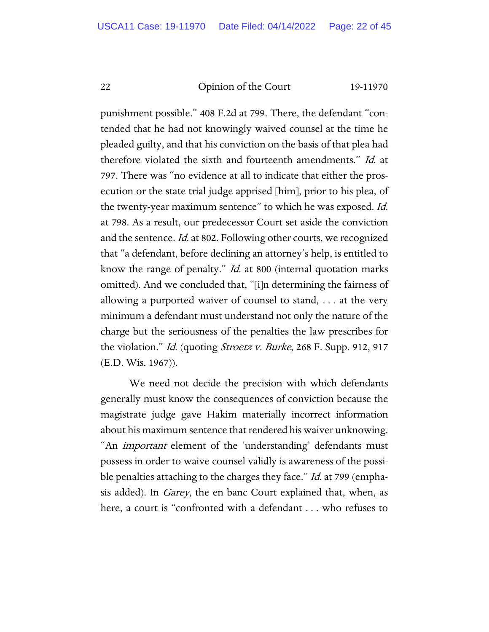punishment possible." 408 F.2d at 799. There, the defendant "contended that he had not knowingly waived counsel at the time he pleaded guilty, and that his conviction on the basis of that plea had therefore violated the sixth and fourteenth amendments." Id. at 797. There was "no evidence at all to indicate that either the prosecution or the state trial judge apprised [him], prior to his plea, of the twenty-year maximum sentence" to which he was exposed. *Id.* at 798. As a result, our predecessor Court set aside the conviction and the sentence. *Id.* at 802. Following other courts, we recognized that "a defendant, before declining an attorney's help, is entitled to know the range of penalty." Id. at 800 (internal quotation marks omitted). And we concluded that, "[i]n determining the fairness of allowing a purported waiver of counsel to stand, . . . at the very minimum a defendant must understand not only the nature of the charge but the seriousness of the penalties the law prescribes for the violation." *Id.* (quoting *Stroetz v. Burke*, 268 F. Supp. 912, 917 (E.D. Wis. 1967)).

We need not decide the precision with which defendants generally must know the consequences of conviction because the magistrate judge gave Hakim materially incorrect information about his maximum sentence that rendered his waiver unknowing. "An *important* element of the 'understanding' defendants must possess in order to waive counsel validly is awareness of the possible penalties attaching to the charges they face." Id. at 799 (emphasis added). In *Garey*, the en banc Court explained that, when, as here, a court is "confronted with a defendant . . . who refuses to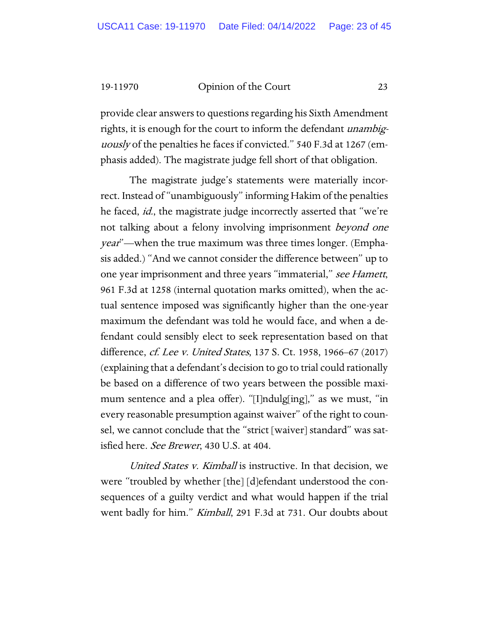provide clear answers to questions regarding his Sixth Amendment rights, it is enough for the court to inform the defendant *unambig*uously of the penalties he faces if convicted." 540 F.3d at 1267 (emphasis added). The magistrate judge fell short of that obligation.

The magistrate judge's statements were materially incorrect. Instead of "unambiguously" informing Hakim of the penalties he faced, *id.*, the magistrate judge incorrectly asserted that "we're not talking about a felony involving imprisonment *beyond one* year"—when the true maximum was three times longer. (Emphasis added.) "And we cannot consider the difference between" up to one year imprisonment and three years "immaterial," see Hamett, 961 F.3d at 1258 (internal quotation marks omitted), when the actual sentence imposed was significantly higher than the one-year maximum the defendant was told he would face, and when a defendant could sensibly elect to seek representation based on that difference, *cf. Lee v. United States*, 137 S. Ct. 1958, 1966–67 (2017) (explaining that a defendant's decision to go to trial could rationally be based on a difference of two years between the possible maximum sentence and a plea offer). "[I]ndulg[ing]," as we must, "in every reasonable presumption against waiver" of the right to counsel, we cannot conclude that the "strict [waiver] standard" was satisfied here. See Brewer, 430 U.S. at 404.

United States *v. Kimball* is instructive. In that decision, we were "troubled by whether [the] [d]efendant understood the consequences of a guilty verdict and what would happen if the trial went badly for him." *Kimball*, 291 F.3d at 731. Our doubts about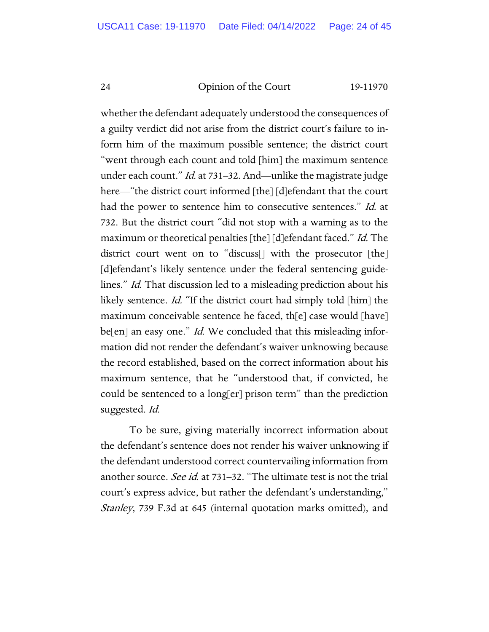whether the defendant adequately understood the consequences of a guilty verdict did not arise from the district court's failure to inform him of the maximum possible sentence; the district court "went through each count and told [him] the maximum sentence under each count." Id. at 731–32. And—unlike the magistrate judge here—"the district court informed [the] [d] efendant that the court had the power to sentence him to consecutive sentences." Id. at 732. But the district court "did not stop with a warning as to the maximum or theoretical penalties [the] [d] efendant faced." Id. The district court went on to "discuss[] with the prosecutor [the] [d]efendant's likely sentence under the federal sentencing guidelines." Id. That discussion led to a misleading prediction about his likely sentence. Id. "If the district court had simply told [him] the maximum conceivable sentence he faced, th[e] case would [have] be[en] an easy one." *Id.* We concluded that this misleading information did not render the defendant's waiver unknowing because the record established, based on the correct information about his maximum sentence, that he "understood that, if convicted, he could be sentenced to a long[er] prison term" than the prediction suggested. Id.

To be sure, giving materially incorrect information about the defendant's sentence does not render his waiver unknowing if the defendant understood correct countervailing information from another source. See id. at 731–32. "The ultimate test is not the trial court's express advice, but rather the defendant's understanding," Stanley, 739 F.3d at 645 (internal quotation marks omitted), and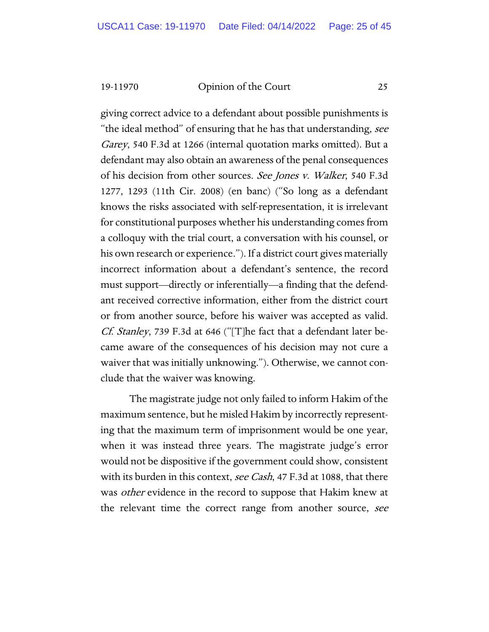giving correct advice to a defendant about possible punishments is "the ideal method" of ensuring that he has that understanding, see Garey, 540 F.3d at 1266 (internal quotation marks omitted). But a defendant may also obtain an awareness of the penal consequences of his decision from other sources. See Jones v. Walker, 540 F.3d 1277, 1293 (11th Cir. 2008) (en banc) ("So long as a defendant knows the risks associated with self-representation, it is irrelevant for constitutional purposes whether his understanding comes from a colloquy with the trial court, a conversation with his counsel, or his own research or experience."). If a district court gives materially incorrect information about a defendant's sentence, the record must support—directly or inferentially—a finding that the defendant received corrective information, either from the district court or from another source, before his waiver was accepted as valid. Cf. Stanley, 739 F.3d at 646 ("[T]he fact that a defendant later became aware of the consequences of his decision may not cure a waiver that was initially unknowing."). Otherwise, we cannot conclude that the waiver was knowing.

The magistrate judge not only failed to inform Hakim of the maximum sentence, but he misled Hakim by incorrectly representing that the maximum term of imprisonment would be one year, when it was instead three years. The magistrate judge's error would not be dispositive if the government could show, consistent with its burden in this context, see Cash, 47 F.3d at 1088, that there was *other* evidence in the record to suppose that Hakim knew at the relevant time the correct range from another source, see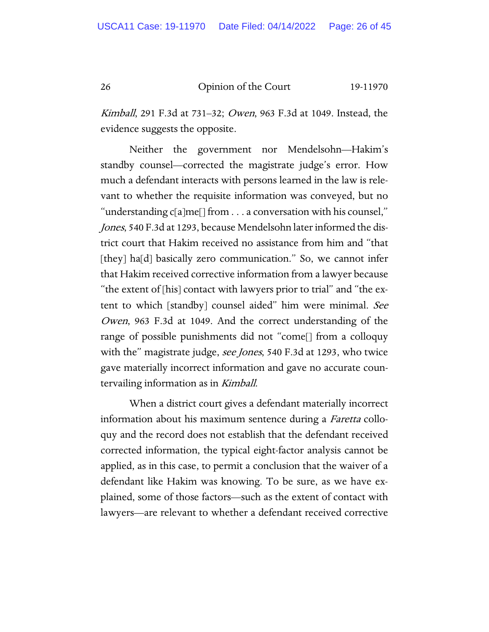Kimball, 291 F.3d at 731–32; Owen, 963 F.3d at 1049. Instead, the evidence suggests the opposite.

Neither the government nor Mendelsohn—Hakim's standby counsel—corrected the magistrate judge's error. How much a defendant interacts with persons learned in the law is relevant to whether the requisite information was conveyed, but no "understanding c[a]me[] from . . . a conversation with his counsel," Jones, 540 F.3d at 1293, because Mendelsohn later informed the district court that Hakim received no assistance from him and "that [they] ha[d] basically zero communication." So, we cannot infer that Hakim received corrective information from a lawyer because "the extent of [his] contact with lawyers prior to trial" and "the extent to which [standby] counsel aided" him were minimal. See Owen, 963 F.3d at 1049. And the correct understanding of the range of possible punishments did not "come[] from a colloquy with the" magistrate judge, *see Jones*, 540 F.3d at 1293, who twice gave materially incorrect information and gave no accurate countervailing information as in Kimball.

When a district court gives a defendant materially incorrect information about his maximum sentence during a *Faretta* colloquy and the record does not establish that the defendant received corrected information, the typical eight-factor analysis cannot be applied, as in this case, to permit a conclusion that the waiver of a defendant like Hakim was knowing. To be sure, as we have explained, some of those factors—such as the extent of contact with lawyers—are relevant to whether a defendant received corrective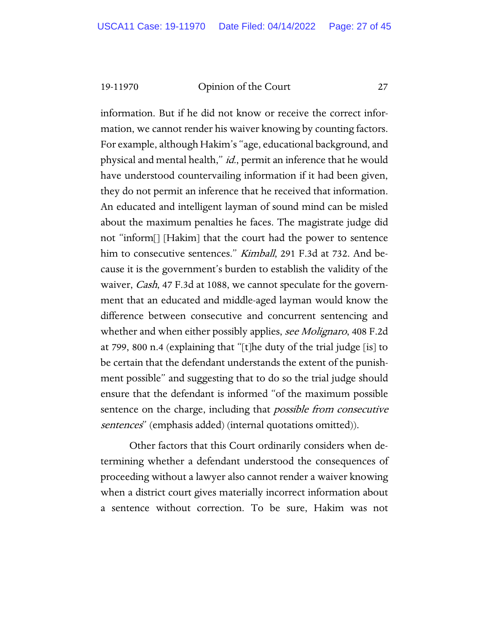information. But if he did not know or receive the correct information, we cannot render his waiver knowing by counting factors. For example, although Hakim's "age, educational background, and physical and mental health," id., permit an inference that he would have understood countervailing information if it had been given, they do not permit an inference that he received that information. An educated and intelligent layman of sound mind can be misled about the maximum penalties he faces. The magistrate judge did not "inform[] [Hakim] that the court had the power to sentence him to consecutive sentences." *Kimball*, 291 F.3d at 732. And because it is the government's burden to establish the validity of the waiver, *Cash*, 47 F.3d at 1088, we cannot speculate for the government that an educated and middle-aged layman would know the difference between consecutive and concurrent sentencing and whether and when either possibly applies, see Molignaro, 408 F.2d at 799, 800 n.4 (explaining that "[t]he duty of the trial judge [is] to be certain that the defendant understands the extent of the punishment possible" and suggesting that to do so the trial judge should ensure that the defendant is informed "of the maximum possible sentence on the charge, including that *possible from consecutive* sentences" (emphasis added) (internal quotations omitted)).

Other factors that this Court ordinarily considers when determining whether a defendant understood the consequences of proceeding without a lawyer also cannot render a waiver knowing when a district court gives materially incorrect information about a sentence without correction. To be sure, Hakim was not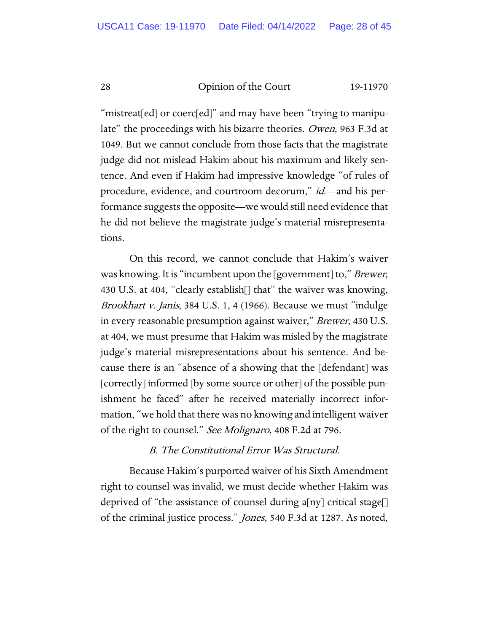"mistreat[ed] or coerc[ed]" and may have been "trying to manipulate" the proceedings with his bizarre theories. Owen, 963 F.3d at 1049. But we cannot conclude from those facts that the magistrate judge did not mislead Hakim about his maximum and likely sentence. And even if Hakim had impressive knowledge "of rules of procedure, evidence, and courtroom decorum," *id*.—and his performance suggests the opposite—we would still need evidence that he did not believe the magistrate judge's material misrepresentations.

On this record, we cannot conclude that Hakim's waiver was knowing. It is "incumbent upon the [government] to," *Brewer*, 430 U.S. at 404, "clearly establish[] that" the waiver was knowing, Brookhart v. Janis, 384 U.S. 1, 4 (1966). Because we must "indulge in every reasonable presumption against waiver," Brewer, 430 U.S. at 404, we must presume that Hakim was misled by the magistrate judge's material misrepresentations about his sentence. And because there is an "absence of a showing that the [defendant] was [correctly] informed [by some source or other] of the possible punishment he faced" after he received materially incorrect information, "we hold that there was no knowing and intelligent waiver of the right to counsel." See Molignaro, 408 F.2d at 796.

# B. The Constitutional Error Was Structural.

Because Hakim's purported waiver of his Sixth Amendment right to counsel was invalid, we must decide whether Hakim was deprived of "the assistance of counsel during a[ny] critical stage[] of the criminal justice process." Jones, 540 F.3d at 1287. As noted,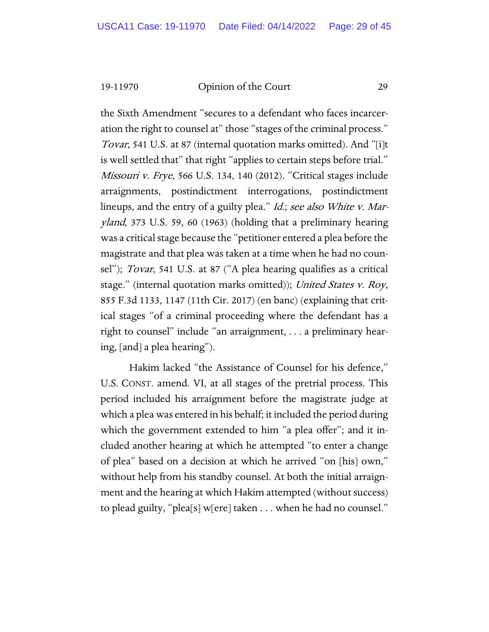the Sixth Amendment "secures to a defendant who faces incarceration the right to counsel at" those "stages of the criminal process." Tovar, 541 U.S. at 87 (internal quotation marks omitted). And "[i]t is well settled that" that right "applies to certain steps before trial." Missouri v. Frye, 566 U.S. 134, 140 (2012). "Critical stages include arraignments, postindictment interrogations, postindictment lineups, and the entry of a guilty plea." *Id.*; see also White v. Maryland, 373 U.S. 59, 60 (1963) (holding that a preliminary hearing was a critical stage because the "petitioner entered a plea before the magistrate and that plea was taken at a time when he had no counsel"); Tovar, 541 U.S. at 87 ("A plea hearing qualifies as a critical stage." (internal quotation marks omitted)); United States v. Roy, 855 F.3d 1133, 1147 (11th Cir. 2017) (en banc) (explaining that critical stages "of a criminal proceeding where the defendant has a right to counsel" include "an arraignment, . . . a preliminary hearing, [and] a plea hearing").

Hakim lacked "the Assistance of Counsel for his defence," U.S. CONST. amend. VI, at all stages of the pretrial process. This period included his arraignment before the magistrate judge at which a plea was entered in his behalf; it included the period during which the government extended to him "a plea offer"; and it included another hearing at which he attempted "to enter a change of plea" based on a decision at which he arrived "on [his] own," without help from his standby counsel. At both the initial arraignment and the hearing at which Hakim attempted (without success) to plead guilty, "plea[s] w[ere] taken . . . when he had no counsel."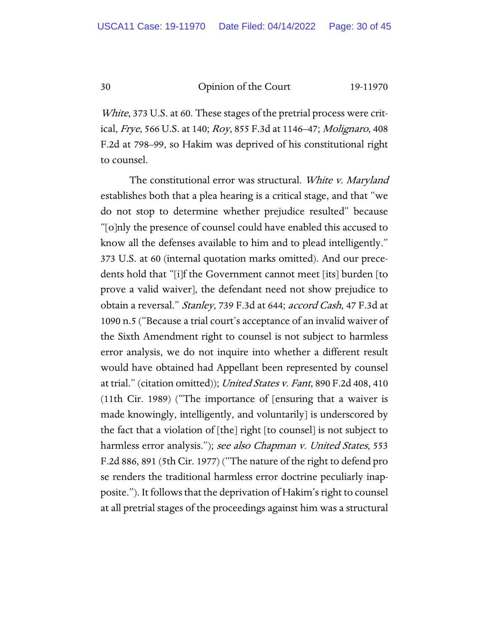White, 373 U.S. at 60. These stages of the pretrial process were critical, Frye, 566 U.S. at 140; Roy, 855 F.3d at 1146–47; Molignaro, 408 F.2d at 798–99, so Hakim was deprived of his constitutional right to counsel.

The constitutional error was structural. White v. Maryland establishes both that a plea hearing is a critical stage, and that "we do not stop to determine whether prejudice resulted" because "[o]nly the presence of counsel could have enabled this accused to know all the defenses available to him and to plead intelligently." 373 U.S. at 60 (internal quotation marks omitted). And our precedents hold that "[i]f the Government cannot meet [its] burden [to prove a valid waiver], the defendant need not show prejudice to obtain a reversal." Stanley, 739 F.3d at 644; accord Cash, 47 F.3d at 1090 n.5 ("Because a trial court's acceptance of an invalid waiver of the Sixth Amendment right to counsel is not subject to harmless error analysis, we do not inquire into whether a different result would have obtained had Appellant been represented by counsel at trial." (citation omitted)); *United States v. Fant*, 890 F.2d 408, 410 (11th Cir. 1989) ("The importance of [ensuring that a waiver is made knowingly, intelligently, and voluntarily] is underscored by the fact that a violation of [the] right [to counsel] is not subject to harmless error analysis."); see also Chapman v. United States, 553 F.2d 886, 891 (5th Cir. 1977) ("The nature of the right to defend pro se renders the traditional harmless error doctrine peculiarly inapposite."). It follows that the deprivation of Hakim's right to counsel at all pretrial stages of the proceedings against him was a structural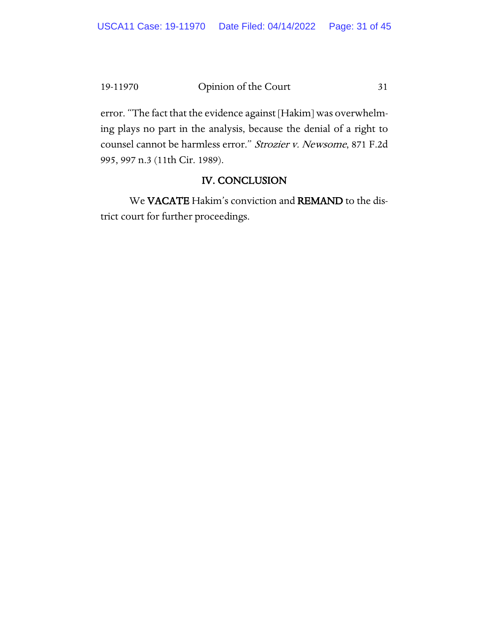error. "The fact that the evidence against [Hakim] was overwhelming plays no part in the analysis, because the denial of a right to counsel cannot be harmless error." Strozier v. Newsome, 871 F.2d 995, 997 n.3 (11th Cir. 1989).

# IV. CONCLUSION

We VACATE Hakim's conviction and REMAND to the district court for further proceedings.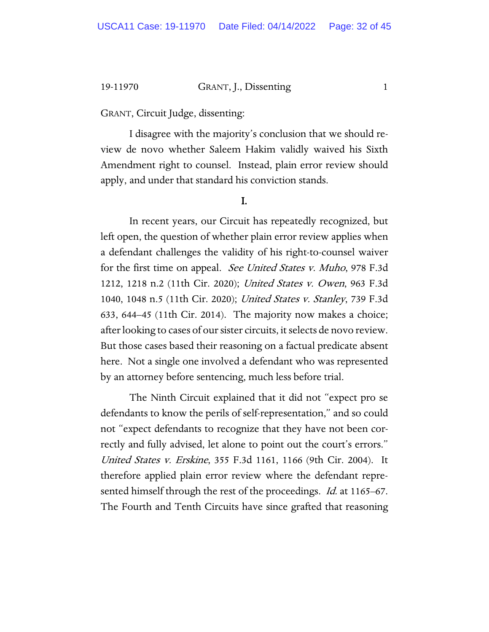19-11970 GRANT, J., Dissenting 1

GRANT, Circuit Judge, dissenting:

I disagree with the majority's conclusion that we should review de novo whether Saleem Hakim validly waived his Sixth Amendment right to counsel. Instead, plain error review should apply, and under that standard his conviction stands.

#### I.

In recent years, our Circuit has repeatedly recognized, but left open, the question of whether plain error review applies when a defendant challenges the validity of his right-to-counsel waiver for the first time on appeal. See United States v. Muho, 978 F.3d 1212, 1218 n.2 (11th Cir. 2020); United States v. Owen, 963 F.3d 1040, 1048 n.5 (11th Cir. 2020); United States v. Stanley, 739 F.3d 633, 644–45 (11th Cir. 2014). The majority now makes a choice; after looking to cases of our sister circuits, it selects de novo review. But those cases based their reasoning on a factual predicate absent here. Not a single one involved a defendant who was represented by an attorney before sentencing, much less before trial.

The Ninth Circuit explained that it did not "expect pro se defendants to know the perils of self-representation," and so could not "expect defendants to recognize that they have not been correctly and fully advised, let alone to point out the court's errors." United States v. Erskine, 355 F.3d 1161, 1166 (9th Cir. 2004). It therefore applied plain error review where the defendant represented himself through the rest of the proceedings. *Id.* at 1165–67. The Fourth and Tenth Circuits have since grafted that reasoning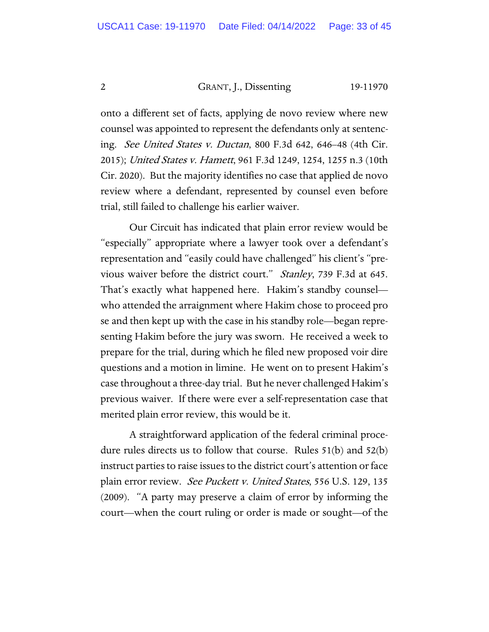2 GRANT, J., Dissenting 19-11970

onto a different set of facts, applying de novo review where new counsel was appointed to represent the defendants only at sentencing. See United States v. Ductan, 800 F.3d 642, 646–48 (4th Cir. 2015); United States v. Hamett, 961 F.3d 1249, 1254, 1255 n.3 (10th Cir. 2020). But the majority identifies no case that applied de novo review where a defendant, represented by counsel even before trial, still failed to challenge his earlier waiver.

Our Circuit has indicated that plain error review would be "especially" appropriate where a lawyer took over a defendant's representation and "easily could have challenged" his client's "previous waiver before the district court." Stanley, 739 F.3d at 645. That's exactly what happened here. Hakim's standby counsel who attended the arraignment where Hakim chose to proceed pro se and then kept up with the case in his standby role—began representing Hakim before the jury was sworn. He received a week to prepare for the trial, during which he filed new proposed voir dire questions and a motion in limine. He went on to present Hakim's case throughout a three-day trial. But he never challenged Hakim's previous waiver. If there were ever a self-representation case that merited plain error review, this would be it.

A straightforward application of the federal criminal procedure rules directs us to follow that course. Rules 51(b) and 52(b) instruct parties to raise issues to the district court's attention or face plain error review. See Puckett v. United States, 556 U.S. 129, 135 (2009). "A party may preserve a claim of error by informing the court—when the court ruling or order is made or sought—of the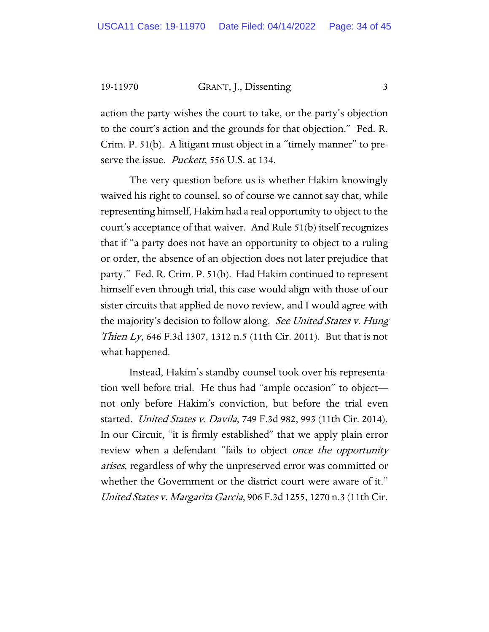19-11970 GRANT, J., Dissenting 3

action the party wishes the court to take, or the party's objection to the court's action and the grounds for that objection." Fed. R. Crim. P. 51(b). A litigant must object in a "timely manner" to preserve the issue. *Puckett*, 556 U.S. at 134.

The very question before us is whether Hakim knowingly waived his right to counsel, so of course we cannot say that, while representing himself, Hakim had a real opportunity to object to the court's acceptance of that waiver. And Rule 51(b) itself recognizes that if "a party does not have an opportunity to object to a ruling or order, the absence of an objection does not later prejudice that party." Fed. R. Crim. P. 51(b). Had Hakim continued to represent himself even through trial, this case would align with those of our sister circuits that applied de novo review, and I would agree with the majority's decision to follow along. See United States v. Hung Thien Ly, 646 F.3d 1307, 1312 n.5 (11th Cir. 2011). But that is not what happened.

Instead, Hakim's standby counsel took over his representation well before trial. He thus had "ample occasion" to object not only before Hakim's conviction, but before the trial even started. United States v. Davila, 749 F.3d 982, 993 (11th Cir. 2014). In our Circuit, "it is firmly established" that we apply plain error review when a defendant "fails to object once the opportunity arises, regardless of why the unpreserved error was committed or whether the Government or the district court were aware of it." United States v. Margarita Garcia, 906 F.3d 1255, 1270 n.3 (11th Cir.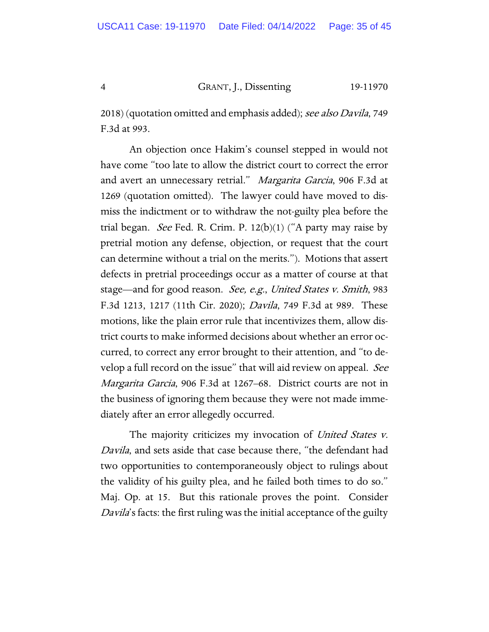4 GRANT, J., Dissenting 19-11970

2018) (quotation omitted and emphasis added); see also Davila, 749 F.3d at 993.

An objection once Hakim's counsel stepped in would not have come "too late to allow the district court to correct the error and avert an unnecessary retrial." Margarita Garcia, 906 F.3d at 1269 (quotation omitted). The lawyer could have moved to dismiss the indictment or to withdraw the not-guilty plea before the trial began. *See* Fed. R. Crim. P.  $12(b)(1)$  ("A party may raise by pretrial motion any defense, objection, or request that the court can determine without a trial on the merits."). Motions that assert defects in pretrial proceedings occur as a matter of course at that stage—and for good reason. See, e.g., United States v. Smith, 983 F.3d 1213, 1217 (11th Cir. 2020); Davila, 749 F.3d at 989. These motions, like the plain error rule that incentivizes them, allow district courts to make informed decisions about whether an error occurred, to correct any error brought to their attention, and "to develop a full record on the issue" that will aid review on appeal. See Margarita Garcia, 906 F.3d at 1267–68. District courts are not in the business of ignoring them because they were not made immediately after an error allegedly occurred.

The majority criticizes my invocation of United States v. Davila, and sets aside that case because there, "the defendant had two opportunities to contemporaneously object to rulings about the validity of his guilty plea, and he failed both times to do so." Maj. Op. at 15. But this rationale proves the point. Consider Davila's facts: the first ruling was the initial acceptance of the guilty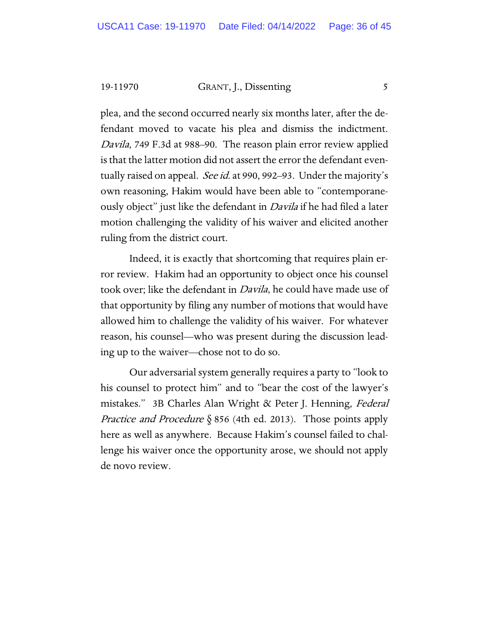19-11970 GRANT, J., Dissenting 5

plea, and the second occurred nearly six months later, after the defendant moved to vacate his plea and dismiss the indictment. Davila, 749 F.3d at 988–90. The reason plain error review applied is that the latter motion did not assert the error the defendant eventually raised on appeal. *See id.* at 990, 992–93. Under the majority's own reasoning, Hakim would have been able to "contemporaneously object" just like the defendant in *Davila* if he had filed a later motion challenging the validity of his waiver and elicited another ruling from the district court.

Indeed, it is exactly that shortcoming that requires plain error review. Hakim had an opportunity to object once his counsel took over; like the defendant in Davila, he could have made use of that opportunity by filing any number of motions that would have allowed him to challenge the validity of his waiver. For whatever reason, his counsel—who was present during the discussion leading up to the waiver—chose not to do so.

Our adversarial system generally requires a party to "look to his counsel to protect him" and to "bear the cost of the lawyer's mistakes." 3B Charles Alan Wright & Peter J. Henning, Federal *Practice and Procedure*  $\S$  856 (4th ed. 2013). Those points apply here as well as anywhere. Because Hakim's counsel failed to challenge his waiver once the opportunity arose, we should not apply de novo review.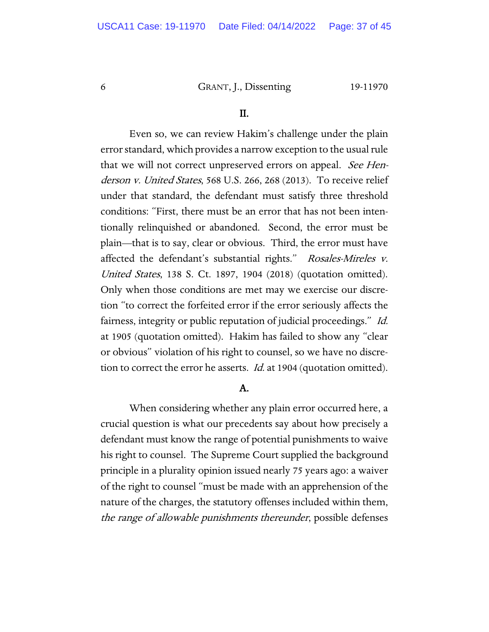6 GRANT, J., Dissenting 19-11970

#### II.

Even so, we can review Hakim's challenge under the plain error standard, which provides a narrow exception to the usual rule that we will not correct unpreserved errors on appeal. See Henderson v. United States, 568 U.S. 266, 268 (2013). To receive relief under that standard, the defendant must satisfy three threshold conditions: "First, there must be an error that has not been intentionally relinquished or abandoned. Second, the error must be plain—that is to say, clear or obvious. Third, the error must have affected the defendant's substantial rights." Rosales-Mireles v. United States, 138 S. Ct. 1897, 1904 (2018) (quotation omitted). Only when those conditions are met may we exercise our discretion "to correct the forfeited error if the error seriously affects the fairness, integrity or public reputation of judicial proceedings." Id. at 1905 (quotation omitted). Hakim has failed to show any "clear or obvious" violation of his right to counsel, so we have no discretion to correct the error he asserts. *Id.* at 1904 (quotation omitted).

#### A.

When considering whether any plain error occurred here, a crucial question is what our precedents say about how precisely a defendant must know the range of potential punishments to waive his right to counsel. The Supreme Court supplied the background principle in a plurality opinion issued nearly 75 years ago: a waiver of the right to counsel "must be made with an apprehension of the nature of the charges, the statutory offenses included within them, the range of allowable punishments thereunder, possible defenses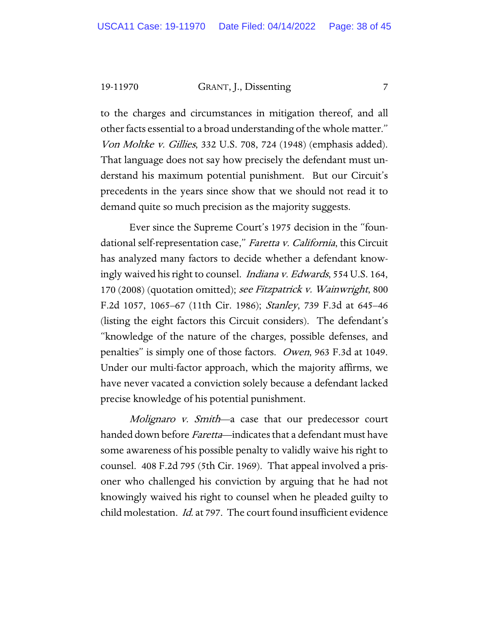19-11970 GRANT, J., Dissenting 7

to the charges and circumstances in mitigation thereof, and all other facts essential to a broad understanding of the whole matter." Von Moltke v. Gillies, 332 U.S. 708, 724 (1948) (emphasis added). That language does not say how precisely the defendant must understand his maximum potential punishment. But our Circuit's precedents in the years since show that we should not read it to demand quite so much precision as the majority suggests.

Ever since the Supreme Court's 1975 decision in the "foundational self-representation case," Faretta v. California, this Circuit has analyzed many factors to decide whether a defendant knowingly waived his right to counsel. *Indiana v. Edwards*, 554 U.S. 164, 170 (2008) (quotation omitted); see Fitzpatrick v. Wainwright, 800 F.2d 1057, 1065–67 (11th Cir. 1986); Stanley, 739 F.3d at 645–46 (listing the eight factors this Circuit considers). The defendant's "knowledge of the nature of the charges, possible defenses, and penalties" is simply one of those factors. Owen, 963 F.3d at 1049. Under our multi-factor approach, which the majority affirms, we have never vacated a conviction solely because a defendant lacked precise knowledge of his potential punishment.

Molignaro *v. Smith*—a case that our predecessor court handed down before *Faretta*—indicates that a defendant must have some awareness of his possible penalty to validly waive his right to counsel. 408 F.2d 795 (5th Cir. 1969). That appeal involved a prisoner who challenged his conviction by arguing that he had not knowingly waived his right to counsel when he pleaded guilty to child molestation. Id. at 797. The court found insufficient evidence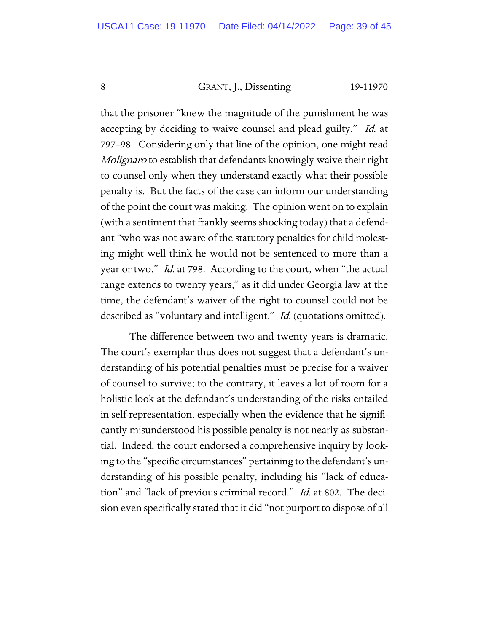# 8 GRANT, J., Dissenting 19-11970

that the prisoner "knew the magnitude of the punishment he was accepting by deciding to waive counsel and plead guilty." Id. at 797–98. Considering only that line of the opinion, one might read Molignaro to establish that defendants knowingly waive their right to counsel only when they understand exactly what their possible penalty is. But the facts of the case can inform our understanding of the point the court was making. The opinion went on to explain (with a sentiment that frankly seems shocking today) that a defendant "who was not aware of the statutory penalties for child molesting might well think he would not be sentenced to more than a year or two." Id. at 798. According to the court, when "the actual range extends to twenty years," as it did under Georgia law at the time, the defendant's waiver of the right to counsel could not be described as "voluntary and intelligent." Id. (quotations omitted).

The difference between two and twenty years is dramatic. The court's exemplar thus does not suggest that a defendant's understanding of his potential penalties must be precise for a waiver of counsel to survive; to the contrary, it leaves a lot of room for a holistic look at the defendant's understanding of the risks entailed in self-representation, especially when the evidence that he significantly misunderstood his possible penalty is not nearly as substantial. Indeed, the court endorsed a comprehensive inquiry by looking to the "specific circumstances" pertaining to the defendant's understanding of his possible penalty, including his "lack of education" and "lack of previous criminal record." *Id.* at 802. The decision even specifically stated that it did "not purport to dispose of all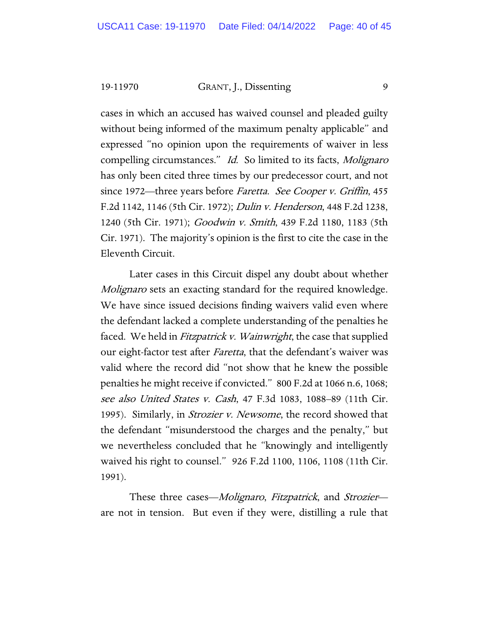19-11970 GRANT, J., Dissenting 9

cases in which an accused has waived counsel and pleaded guilty without being informed of the maximum penalty applicable" and expressed "no opinion upon the requirements of waiver in less compelling circumstances." Id. So limited to its facts, Molignaro has only been cited three times by our predecessor court, and not since 1972—three years before Faretta. See Cooper v. Griffin, 455 F.2d 1142, 1146 (5th Cir. 1972); Dulin v. Henderson, 448 F.2d 1238, 1240 (5th Cir. 1971); Goodwin v. Smith, 439 F.2d 1180, 1183 (5th Cir. 1971). The majority's opinion is the first to cite the case in the Eleventh Circuit.

Later cases in this Circuit dispel any doubt about whether Molignaro sets an exacting standard for the required knowledge. We have since issued decisions finding waivers valid even where the defendant lacked a complete understanding of the penalties he faced. We held in *Fitzpatrick v. Wainwright*, the case that supplied our eight-factor test after *Faretta*, that the defendant's waiver was valid where the record did "not show that he knew the possible penalties he might receive if convicted." 800 F.2d at 1066 n.6, 1068; see also United States v. Cash, 47 F.3d 1083, 1088–89 (11th Cir. 1995). Similarly, in Strozier v. Newsome, the record showed that the defendant "misunderstood the charges and the penalty," but we nevertheless concluded that he "knowingly and intelligently waived his right to counsel." 926 F.2d 1100, 1106, 1108 (11th Cir. 1991).

These three cases—*Molignaro*, *Fitzpatrick*, and *Strozier* are not in tension. But even if they were, distilling a rule that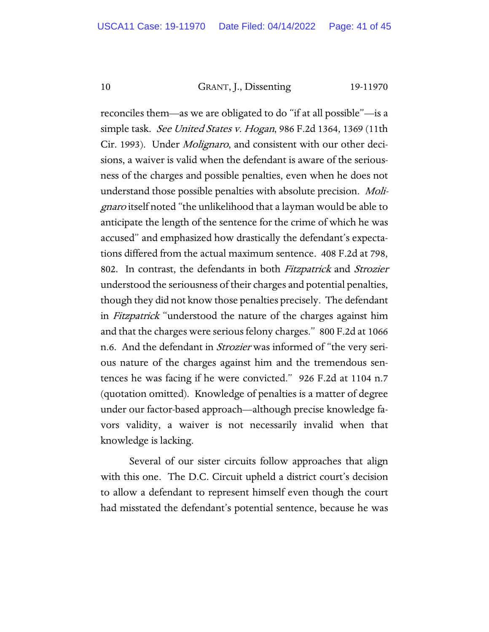#### 10 GRANT, J., Dissenting 19-11970

reconciles them—as we are obligated to do "if at all possible"—is a simple task. See United States v. Hogan, 986 F.2d 1364, 1369 (11th Cir. 1993). Under *Molignaro*, and consistent with our other decisions, a waiver is valid when the defendant is aware of the seriousness of the charges and possible penalties, even when he does not understand those possible penalties with absolute precision. Molignaro itself noted "the unlikelihood that a layman would be able to anticipate the length of the sentence for the crime of which he was accused" and emphasized how drastically the defendant's expectations differed from the actual maximum sentence. 408 F.2d at 798, 802. In contrast, the defendants in both Fitzpatrick and Strozier understood the seriousness of their charges and potential penalties, though they did not know those penalties precisely. The defendant in Fitzpatrick "understood the nature of the charges against him and that the charges were serious felony charges." 800 F.2d at 1066 n.6. And the defendant in Strozier was informed of "the very serious nature of the charges against him and the tremendous sentences he was facing if he were convicted." 926 F.2d at 1104 n.7 (quotation omitted). Knowledge of penalties is a matter of degree under our factor-based approach—although precise knowledge favors validity, a waiver is not necessarily invalid when that knowledge is lacking.

Several of our sister circuits follow approaches that align with this one. The D.C. Circuit upheld a district court's decision to allow a defendant to represent himself even though the court had misstated the defendant's potential sentence, because he was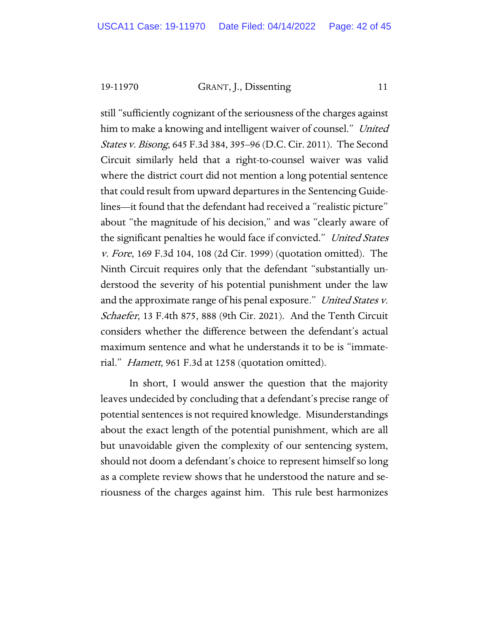19-11970 GRANT, J., Dissenting 11

still "sufficiently cognizant of the seriousness of the charges against him to make a knowing and intelligent waiver of counsel." United States v. Bisong, 645 F.3d 384, 395–96 (D.C. Cir. 2011). The Second Circuit similarly held that a right-to-counsel waiver was valid where the district court did not mention a long potential sentence that could result from upward departures in the Sentencing Guidelines—it found that the defendant had received a "realistic picture" about "the magnitude of his decision," and was "clearly aware of the significant penalties he would face if convicted." United States v. Fore, 169 F.3d 104, 108 (2d Cir. 1999) (quotation omitted). The Ninth Circuit requires only that the defendant "substantially understood the severity of his potential punishment under the law and the approximate range of his penal exposure." United States v. Schaefer, 13 F.4th 875, 888 (9th Cir. 2021). And the Tenth Circuit considers whether the difference between the defendant's actual maximum sentence and what he understands it to be is "immaterial." Hamett, 961 F.3d at 1258 (quotation omitted).

In short, I would answer the question that the majority leaves undecided by concluding that a defendant's precise range of potential sentences is not required knowledge. Misunderstandings about the exact length of the potential punishment, which are all but unavoidable given the complexity of our sentencing system, should not doom a defendant's choice to represent himself so long as a complete review shows that he understood the nature and seriousness of the charges against him. This rule best harmonizes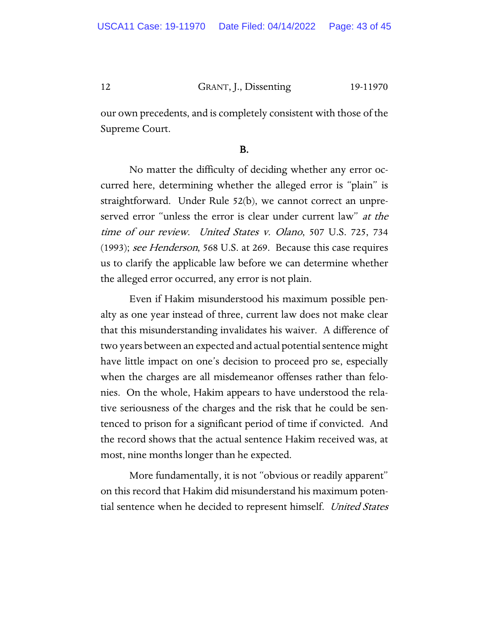# 12 GRANT, J., Dissenting 19-11970

our own precedents, and is completely consistent with those of the Supreme Court.

# B.

No matter the difficulty of deciding whether any error occurred here, determining whether the alleged error is "plain" is straightforward. Under Rule 52(b), we cannot correct an unpreserved error "unless the error is clear under current law" at the time of our review. United States v. Olano, 507 U.S. 725, 734 (1993); see Henderson, 568 U.S. at 269. Because this case requires us to clarify the applicable law before we can determine whether the alleged error occurred, any error is not plain.

Even if Hakim misunderstood his maximum possible penalty as one year instead of three, current law does not make clear that this misunderstanding invalidates his waiver. A difference of two years between an expected and actual potential sentence might have little impact on one's decision to proceed pro se, especially when the charges are all misdemeanor offenses rather than felonies. On the whole, Hakim appears to have understood the relative seriousness of the charges and the risk that he could be sentenced to prison for a significant period of time if convicted. And the record shows that the actual sentence Hakim received was, at most, nine months longer than he expected.

More fundamentally, it is not "obvious or readily apparent" on this record that Hakim did misunderstand his maximum potential sentence when he decided to represent himself. United States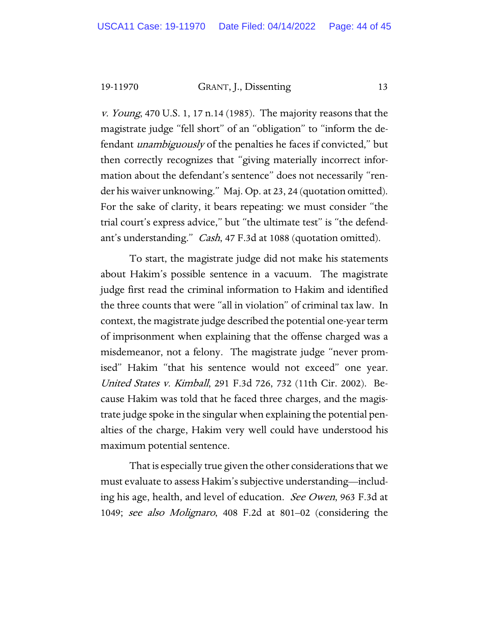19-11970 GRANT, J., Dissenting 13

v. Young, 470 U.S. 1, 17 n.14 (1985). The majority reasons that the magistrate judge "fell short" of an "obligation" to "inform the defendant unambiguously of the penalties he faces if convicted," but then correctly recognizes that "giving materially incorrect information about the defendant's sentence" does not necessarily "render his waiver unknowing." Maj. Op. at 23, 24 (quotation omitted). For the sake of clarity, it bears repeating: we must consider "the trial court's express advice," but "the ultimate test" is "the defendant's understanding." *Cash*, 47 F.3d at 1088 (quotation omitted).

To start, the magistrate judge did not make his statements about Hakim's possible sentence in a vacuum. The magistrate judge first read the criminal information to Hakim and identified the three counts that were "all in violation" of criminal tax law. In context, the magistrate judge described the potential one-year term of imprisonment when explaining that the offense charged was a misdemeanor, not a felony. The magistrate judge "never promised" Hakim "that his sentence would not exceed" one year. United States v. Kimball, 291 F.3d 726, 732 (11th Cir. 2002). Because Hakim was told that he faced three charges, and the magistrate judge spoke in the singular when explaining the potential penalties of the charge, Hakim very well could have understood his maximum potential sentence.

That is especially true given the other considerations that we must evaluate to assess Hakim's subjective understanding—including his age, health, and level of education. See Owen, 963 F.3d at 1049; see also Molignaro, 408 F.2d at 801–02 (considering the